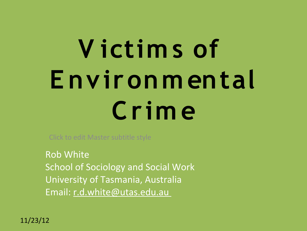# **V ictim s of E nvironm ental Crim e**

Click to edit Master subtitle style

Rob White School of Sociology and Social Work University of Tasmania, Australia Email: r.d.white@utas.edu.au

11/23/12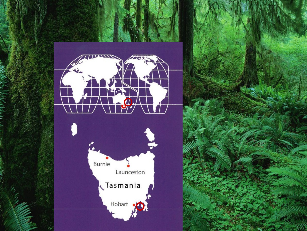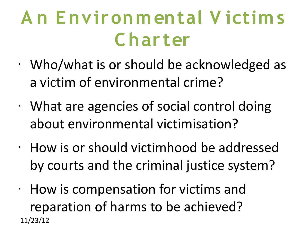#### **A n E nvironm ental V ictim s Char ter**

- Who/what is or should be acknowledged as a victim of environmental crime?
- What are agencies of social control doing about environmental victimisation?
- How is or should victimhood be addressed by courts and the criminal justice system?
- 11/23/12 • How is compensation for victims and reparation of harms to be achieved?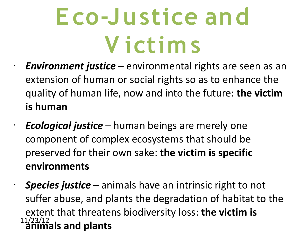### **E co-Justice and V ictim s**

- *Environment justice* environmental rights are seen as an extension of human or social rights so as to enhance the quality of human life, now and into the future: **the victim is human**
- *Ecological justice* human beings are merely one component of complex ecosystems that should be preserved for their own sake: **the victim is specific environments**

11/23/12 • *Species justice* – animals have an intrinsic right to not suffer abuse, and plants the degradation of habitat to the extent that threatens biodiversity loss: **the victim is animals and plants**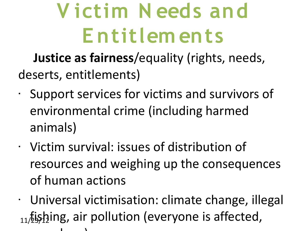#### **V ictim N eeds and E ntitlem ents**

**Justice as fairness**/equality (rights, needs, deserts, entitlements)

- Support services for victims and survivors of environmental crime (including harmed animals)
- Victim survival: issues of distribution of resources and weighing up the consequences of human actions
- 11/25/12. 11/25/12 air pollution (everyone is affected, • Universal victimisation: climate change, illegal somehow)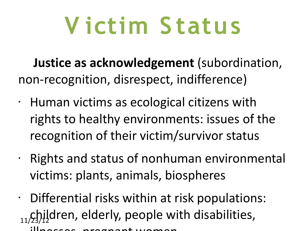### **V ictim S tatus**

**Justice as acknowledgement** (subordination, non-recognition, disrespect, indifference)

- Human victims as ecological citizens with rights to healthy environments: issues of the recognition of their victim/survivor status
- Rights and status of nonhuman environmental victims: plants, animals, biospheres
- 11/23)<sup>1</sup><sup>1</sup>/23)<sup>1</sup>/2 dren, elderly, people with disabilities, • Differential risks within at risk populations: illnesses, pregnant women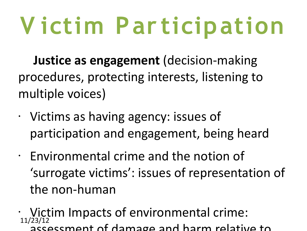# **V ictim Par ticipation**

**Justice as engagement** (decision-making procedures, protecting interests, listening to multiple voices)

- Victims as having agency: issues of participation and engagement, being heard
- Environmental crime and the notion of 'surrogate victims': issues of representation of the non-human
- 11/23/12 • Victim Impacts of environmental crime: assessment of damage and harm relative to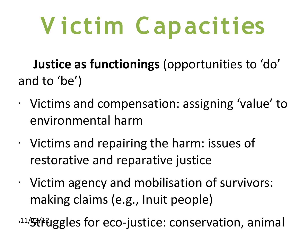# **V ictim Capacities**

**Justice as functionings** (opportunities to 'do' and to 'be')

- Victims and compensation: assigning 'value' to environmental harm
- Victims and repairing the harm: issues of restorative and reparative justice
- Victim agency and mobilisation of survivors: making claims (e.g., Inuit people)

11/Struggles for eco-justice: conservation, animal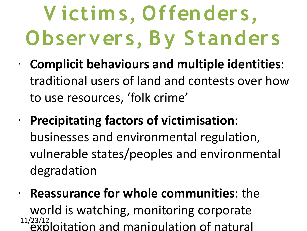### **V ictim s, Offenders, Observers, By Standers**

- **Complicit behaviours and multiple identities**: traditional users of land and contests over how to use resources, 'folk crime'
- **Precipitating factors of victimisation**: businesses and environmental regulation, vulnerable states/peoples and environmental degradation
- 11/23/12 • **Reassurance for whole communities**: the world is watching, monitoring corporate exploitation and manipulation of natural